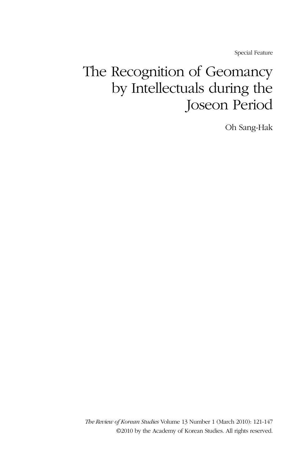Special Feature

# The Recognition of Geomancy by Intellectuals during the Joseon Period

Oh Sang-Hak

*The Review of Korean Studies* Volume 13 Number 1 (March 2010): 121-147 ©2010 by the Academy of Korean Studies. All rights reserved.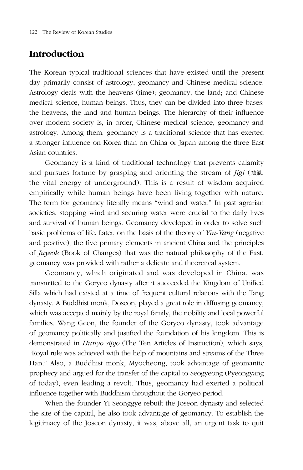# **Introduction**

The Korean typical traditional sciences that have existed until the present day primarily consist of astrology, geomancy and Chinese medical science. Astrology deals with the heavens (time); geomancy, the land; and Chinese medical science, human beings. Thus, they can be divided into three bases: the heavens, the land and human beings. The hierarchy of their influence over modern society is, in order, Chinese medical science, geomancy and astrology. Among them, geomancy is a traditional science that has exerted a stronger influence on Korea than on China or Japan among the three East Asian countries.

Geomancy is a kind of traditional technology that prevents calamity and pursues fortune by grasping and orienting the stream of *Jigi* (地氣, the vital energy of underground). This is a result of wisdom acquired empirically while human beings have been living together with nature. The term for geomancy literally means "wind and water." In past agrarian societies, stopping wind and securing water were crucial to the daily lives and survival of human beings. Geomancy developed in order to solve such basic problems of life. Later, on the basis of the theory of *Yin-Yang* (negative and positive), the five primary elements in ancient China and the principles of *Juyeok* (Book of Changes) that was the natural philosophy of the East, geomancy was provided with rather a delicate and theoretical system.

Geomancy, which originated and was developed in China, was transmitted to the Goryeo dynasty after it succeeded the Kingdom of Unified Silla which had existed at a time of frequent cultural relations with the Tang dynasty. A Buddhist monk, Doseon, played a great role in diffusing geomancy, which was accepted mainly by the royal family, the nobility and local powerful families. Wang Geon, the founder of the Goryeo dynasty, took advantage of geomancy politically and justified the foundation of his kingdom. This is demonstrated in *Hunyo sipjo* (The Ten Articles of Instruction), which says, "Royal rule was achieved with the help of mountains and streams of the Three Han." Also, a Buddhist monk, Myocheong, took advantage of geomantic prophecy and argued for the transfer of the capital to Seogyeong (Pyeongyang of today), even leading a revolt. Thus, geomancy had exerted a political influence together with Buddhism throughout the Goryeo period.

When the founder Yi Seonggye rebuilt the Joseon dynasty and selected the site of the capital, he also took advantage of geomancy. To establish the legitimacy of the Joseon dynasty, it was, above all, an urgent task to quit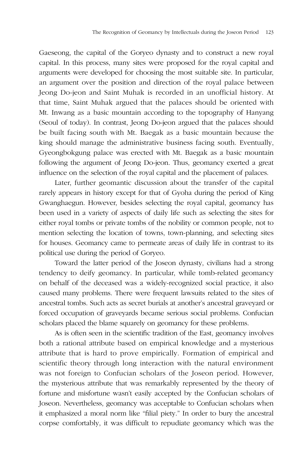Gaeseong, the capital of the Goryeo dynasty and to construct a new royal capital. In this process, many sites were proposed for the royal capital and arguments were developed for choosing the most suitable site. In particular, an argument over the position and direction of the royal palace between Jeong Do-jeon and Saint Muhak is recorded in an unofficial history. At that time, Saint Muhak argued that the palaces should be oriented with Mt. Inwang as a basic mountain according to the topography of Hanyang (Seoul of today). In contrast, Jeong Do-jeon argued that the palaces should be built facing south with Mt. Baegak as a basic mountain because the king should manage the administrative business facing south. Eventually, Gyeongbokgung palace was erected with Mt. Baegak as a basic mountain following the argument of Jeong Do-jeon. Thus, geomancy exerted a great influence on the selection of the royal capital and the placement of palaces.

Later, further geomantic discussion about the transfer of the capital rarely appears in history except for that of Gyoha during the period of King Gwanghaegun. However, besides selecting the royal capital, geomancy has been used in a variety of aspects of daily life such as selecting the sites for either royal tombs or private tombs of the nobility or common people, not to mention selecting the location of towns, town-planning, and selecting sites for houses. Geomancy came to permeate areas of daily life in contrast to its political use during the period of Goryeo.

Toward the latter period of the Joseon dynasty, civilians had a strong tendency to deify geomancy. In particular, while tomb-related geomancy on behalf of the deceased was a widely-recognized social practice, it also caused many problems. There were frequent lawsuits related to the sites of ancestral tombs. Such acts as secret burials at another's ancestral graveyard or forced occupation of graveyards became serious social problems. Confucian scholars placed the blame squarely on geomancy for these problems.

As is often seen in the scientific tradition of the East, geomancy involves both a rational attribute based on empirical knowledge and a mysterious attribute that is hard to prove empirically. Formation of empirical and scientific theory through long interaction with the natural environment was not foreign to Confucian scholars of the Joseon period. However, the mysterious attribute that was remarkably represented by the theory of fortune and misfortune wasn't easily accepted by the Confucian scholars of Joseon. Nevertheless, geomancy was acceptable to Confucian scholars when it emphasized a moral norm like "filial piety." In order to bury the ancestral corpse comfortably, it was difficult to repudiate geomancy which was the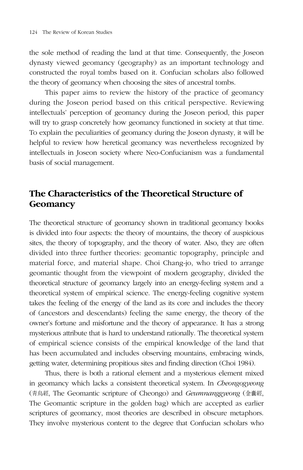the sole method of reading the land at that time. Consequently, the Joseon dynasty viewed geomancy (geography) as an important technology and constructed the royal tombs based on it. Confucian scholars also followed the theory of geomancy when choosing the sites of ancestral tombs.

This paper aims to review the history of the practice of geomancy during the Joseon period based on this critical perspective. Reviewing intellectuals' perception of geomancy during the Joseon period, this paper will try to grasp concretely how geomancy functioned in society at that time. To explain the peculiarities of geomancy during the Joseon dynasty, it will be helpful to review how heretical geomancy was nevertheless recognized by intellectuals in Joseon society where Neo-Confucianism was a fundamental basis of social management.

# **The Characteristics of the Theoretical Structure of Geomancy**

The theoretical structure of geomancy shown in traditional geomancy books is divided into four aspects: the theory of mountains, the theory of auspicious sites, the theory of topography, and the theory of water. Also, they are often divided into three further theories: geomantic topography, principle and material force, and material shape. Choi Chang-jo, who tried to arrange geomantic thought from the viewpoint of modern geography, divided the theoretical structure of geomancy largely into an energy-feeling system and a theoretical system of empirical science. The energy-feeling cognitive system takes the feeling of the energy of the land as its core and includes the theory of (ancestors and descendants) feeling the same energy, the theory of the owner's fortune and misfortune and the theory of appearance. It has a strong mysterious attribute that is hard to understand rationally. The theoretical system of empirical science consists of the empirical knowledge of the land that has been accumulated and includes observing mountains, embracing winds, getting water, determining propitious sites and finding direction (Choi 1984).

Thus, there is both a rational element and a mysterious element mixed in geomancy which lacks a consistent theoretical system. In *Cheongogyeong*  (靑烏經, The Geomantic scripture of Cheongo) and *Geumnanggyeong* (金囊經, The Geomantic scripture in the golden bag) which are accepted as earlier scriptures of geomancy, most theories are described in obscure metaphors. They involve mysterious content to the degree that Confucian scholars who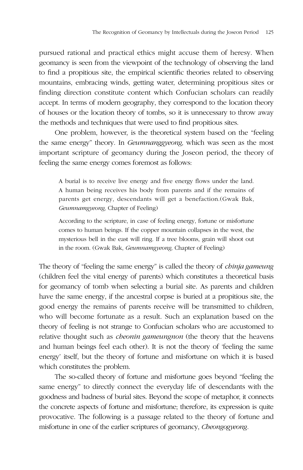pursued rational and practical ethics might accuse them of heresy. When geomancy is seen from the viewpoint of the technology of observing the land to find a propitious site, the empirical scientific theories related to observing mountains, embracing winds, getting water, determining propitious sites or finding direction constitute content which Confucian scholars can readily accept. In terms of modern geography, they correspond to the location theory of houses or the location theory of tombs, so it is unnecessary to throw away the methods and techniques that were used to find propitious sites.

One problem, however, is the theoretical system based on the "feeling the same energy" theory. In *Geumnanggyeong,* which was seen as the most important scripture of geomancy during the Joseon period, the theory of feeling the same energy comes foremost as follows:

A burial is to receive live energy and five energy flows under the land. A human being receives his body from parents and if the remains of parents get energy, descendants will get a benefaction.(Gwak Bak, *Geumnamgyeong,* Chapter of Feeling)

According to the scripture, in case of feeling energy, fortune or misfortune comes to human beings. If the copper mountain collapses in the west, the mysterious bell in the east will ring. If a tree blooms, grain will shoot out in the room. (Gwak Bak, *Geumnamgyeong,* Chapter of Feeling)

The theory of "feeling the same energy" is called the theory of *chinja gameung* (children feel the vital energy of parents) which constitutes a theoretical basis for geomancy of tomb when selecting a burial site. As parents and children have the same energy, if the ancestral corpse is buried at a propitious site, the good energy the remains of parents receive will be transmitted to children, who will become fortunate as a result. Such an explanation based on the theory of feeling is not strange to Confucian scholars who are accustomed to relative thought such as *cheonin gameungnon* (the theory that the heavens and human beings feel each other). It is not the theory of 'feeling the same energy' itself, but the theory of fortune and misfortune on which it is based which constitutes the problem.

The so-called theory of fortune and misfortune goes beyond "feeling the same energy" to directly connect the everyday life of descendants with the goodness and badness of burial sites. Beyond the scope of metaphor, it connects the concrete aspects of fortune and misfortune; therefore, its expression is quite provocative. The following is a passage related to the theory of fortune and misfortune in one of the earlier scriptures of geomancy, *Cheongogyeong.*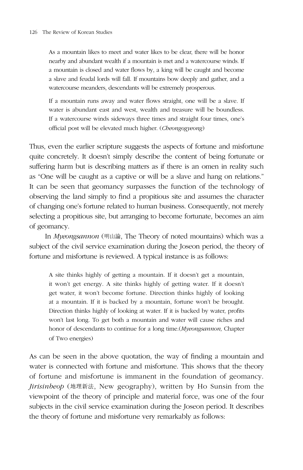As a mountain likes to meet and water likes to be clear, there will be honor nearby and abundant wealth if a mountain is met and a watercourse winds. If a mountain is closed and water flows by, a king will be caught and become a slave and feudal lords will fall. If mountains bow deeply and gather, and a watercourse meanders, descendants will be extremely prosperous.

If a mountain runs away and water flows straight, one will be a slave. If water is abundant east and west, wealth and treasure will be boundless. If a watercourse winds sideways three times and straight four times, one's official post will be elevated much higher. (*Cheongogyeong*)

Thus, even the earlier scripture suggests the aspects of fortune and misfortune quite concretely. It doesn't simply describe the content of being fortunate or suffering harm but is describing matters as if there is an omen in reality such as "One will be caught as a captive or will be a slave and hang on relations." It can be seen that geomancy surpasses the function of the technology of observing the land simply to find a propitious site and assumes the character of changing one's fortune related to human business. Consequently, not merely selecting a propitious site, but arranging to become fortunate, becomes an aim of geomancy.

In *Myeongsannon* (明山論, The Theory of noted mountains) which was a subject of the civil service examination during the Joseon period, the theory of fortune and misfortune is reviewed. A typical instance is as follows:

A site thinks highly of getting a mountain. If it doesn't get a mountain, it won't get energy. A site thinks highly of getting water. If it doesn't get water, it won't become fortune. Direction thinks highly of looking at a mountain. If it is backed by a mountain, fortune won't be brought. Direction thinks highly of looking at water. If it is backed by water, profits won't last long. To get both a mountain and water will cause riches and honor of descendants to continue for a long time.(*Myeongsannon,* Chapter of Two energies)

As can be seen in the above quotation, the way of finding a mountain and water is connected with fortune and misfortune. This shows that the theory of fortune and misfortune is immanent in the foundation of geomancy. *Jirisinbeop* (地理新法, New geography), written by Ho Sunsin from the viewpoint of the theory of principle and material force, was one of the four subjects in the civil service examination during the Joseon period. It describes the theory of fortune and misfortune very remarkably as follows: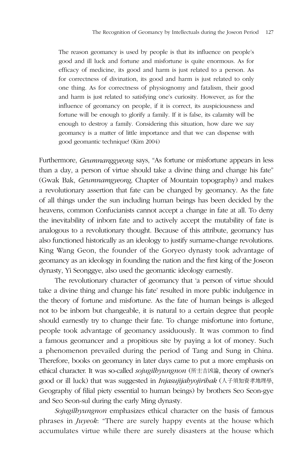The reason geomancy is used by people is that its influence on people's good and ill luck and fortune and misfortune is quite enormous. As for efficacy of medicine, its good and harm is just related to a person. As for correctness of divination, its good and harm is just related to only one thing. As for correctness of physiognomy and fatalism, their good and harm is just related to satisfying one's curiosity. However, as for the influence of geomancy on people, if it is correct, its auspiciousness and fortune will be enough to glorify a family. If it is false, its calamity will be enough to destroy a family. Considering this situation, how dare we say geomancy is a matter of little importance and that we can dispense with good geomantic technique! (Kim 2004)

Furthermore, *Geumnanggyeong* says, "As fortune or misfortune appears in less than a day, a person of virtue should take a divine thing and change his fate" (Gwak Bak, *Geumnamgyeong,* Chapter of Mountain topography) and makes a revolutionary assertion that fate can be changed by geomancy. As the fate of all things under the sun including human beings has been decided by the heavens, common Confucianists cannot accept a change in fate at all. To deny the inevitability of inborn fate and to actively accept the mutability of fate is analogous to a revolutionary thought. Because of this attribute, geomancy has also functioned historically as an ideology to justify surname-change revolutions. King Wang Geon, the founder of the Goryeo dynasty took advantage of geomancy as an ideology in founding the nation and the first king of the Joseon dynasty, Yi Seonggye, also used the geomantic ideology earnestly.

The revolutionary character of geomancy that 'a person of virtue should take a divine thing and change his fate' resulted in more public indulgence in the theory of fortune and misfortune. As the fate of human beings is alleged not to be inborn but changeable, it is natural to a certain degree that people should earnestly try to change their fate. To change misfortune into fortune, people took advantage of geomancy assiduously. It was common to find a famous geomancer and a propitious site by paying a lot of money. Such a phenomenon prevailed during the period of Tang and Sung in China. Therefore, books on geomancy in later days came to put a more emphasis on ethical character. It was so-called *sojugilhyungnon* (所主吉凶論, theory of owner's good or ill luck) that was suggested in *Injasujijahyojirihak* (人子須知資孝地理學, Geography of filial piety essential to human beings) by brothers Seo Seon-gye and Seo Seon-sul during the early Ming dynasty.

*Sojugilhyungnon* emphasizes ethical character on the basis of famous phrases in *Juyeok*: "There are surely happy events at the house which accumulates virtue while there are surely disasters at the house which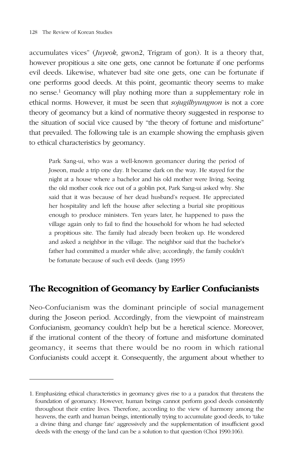accumulates vices" (*Juyeok*, gwon2, Trigram of gon). It is a theory that, however propitious a site one gets, one cannot be fortunate if one performs evil deeds. Likewise, whatever bad site one gets, one can be fortunate if one performs good deeds. At this point, geomantic theory seems to make no sense.<sup>1</sup> Geomancy will play nothing more than a supplementary role in ethical norms. However, it must be seen that *sojugilhyungnon* is not a core theory of geomancy but a kind of normative theory suggested in response to the situation of social vice caused by "the theory of fortune and misfortune" that prevailed. The following tale is an example showing the emphasis given to ethical characteristics by geomancy.

Park Sang-ui, who was a well-known geomancer during the period of Joseon, made a trip one day. It became dark on the way. He stayed for the night at a house where a bachelor and his old mother were living. Seeing the old mother cook rice out of a goblin pot, Park Sang-ui asked why. She said that it was because of her dead husband's request. He appreciated her hospitality and left the house after selecting a burial site propitious enough to produce ministers. Ten years later, he happened to pass the village again only to fail to find the household for whom he had selected a propitious site. The family had already been broken up. He wondered and asked a neighbor in the village. The neighbor said that the bachelor's father had committed a murder while alive; accordingly, the family couldn't be fortunate because of such evil deeds. (Jang 1995)

# **The Recognition of Geomancy by Earlier Confucianists**

Neo-Confucianism was the dominant principle of social management during the Joseon period. Accordingly, from the viewpoint of mainstream Confucianism, geomancy couldn't help but be a heretical science. Moreover, if the irrational content of the theory of fortune and misfortune dominated geomancy, it seems that there would be no room in which rational Confucianists could accept it. Consequently, the argument about whether to

<sup>1.</sup> Emphasizing ethical characteristics in geomancy gives rise to a a paradox that threatens the foundation of geomancy. However, human beings cannot perform good deeds consistently throughout their entire lives. Therefore, according to the view of harmony among the heavens, the earth and human beings, intentionally trying to accumulate good deeds, to 'take a divine thing and change fate' aggressively and the supplementation of insufficient good deeds with the energy of the land can be a solution to that question (Choi 1990:106).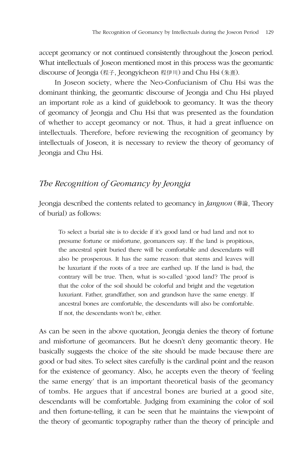accept geomancy or not continued consistently throughout the Joseon period. What intellectuals of Joseon mentioned most in this process was the geomantic discourse of Jeongja (程子, Jeongyicheon 程伊川) and Chu Hsi (朱熹).

In Joseon society, where the Neo-Confucianism of Chu Hsi was the dominant thinking, the geomantic discourse of Jeongja and Chu Hsi played an important role as a kind of guidebook to geomancy. It was the theory of geomancy of Jeongja and Chu Hsi that was presented as the foundation of whether to accept geomancy or not. Thus, it had a great influence on intellectuals. Therefore, before reviewing the recognition of geomancy by intellectuals of Joseon, it is necessary to review the theory of geomancy of Jeongja and Chu Hsi.

# *The Recognition of Geomancy by Jeongja*

Jeongja described the contents related to geomancy in *Jangnon* (葬論, Theory of burial) as follows:

To select a burial site is to decide if it's good land or bad land and not to presume fortune or misfortune, geomancers say. If the land is propitious, the ancestral spirit buried there will be comfortable and descendants will also be prosperous. It has the same reason: that stems and leaves will be luxuriant if the roots of a tree are earthed up. If the land is bad, the contrary will be true. Then, what is so-called 'good land'? The proof is that the color of the soil should be colorful and bright and the vegetation luxuriant. Father, grandfather, son and grandson have the same energy. If ancestral bones are comfortable, the descendants will also be comfortable. If not, the descendants won't be, either.

As can be seen in the above quotation, Jeongja denies the theory of fortune and misfortune of geomancers. But he doesn't deny geomantic theory. He basically suggests the choice of the site should be made because there are good or bad sites. To select sites carefully is the cardinal point and the reason for the existence of geomancy. Also, he accepts even the theory of 'feeling the same energy' that is an important theoretical basis of the geomancy of tombs. He argues that if ancestral bones are buried at a good site, descendants will be comfortable. Judging from examining the color of soil and then fortune-telling, it can be seen that he maintains the viewpoint of the theory of geomantic topography rather than the theory of principle and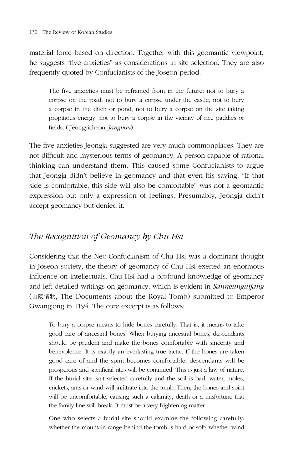material force based on direction. Together with this geomantic viewpoint, he suggests "five anxieties" as considerations in site selection. They are also frequently quoted by Confucianists of the Joseon period.

The five anxieties must be refrained from in the future: not to bury a corpse on the road; not to bury a corpse under the castle; not to bury a corpse in the ditch or pond; not to bury a corpse on the site taking propitious energy; not to bury a corpse in the vicinity of rice paddies or fields. ( Jeongyicheon*, Jangnon*)

The five anxieties Jeongja suggested are very much commonplaces. They are not difficult and mysterious terms of geomancy. A person capable of rational thinking can understand them. This caused some Confucianists to argue that Jeongja didn't believe in geomancy and that even his saying, "If that side is comfortable, this side will also be comfortable" was not a geomantic expression but only a expression of feelings. Presumably, Jeongja didn't accept geomancy but denied it.

# *The Recognition of Geomancy by Chu Hsi*

Considering that the Neo-Confucianism of Chu Hsi was a dominant thought in Joseon society, the theory of geomancy of Chu Hsi exerted an enormous influence on intellectuals. Chu Hsi had a profound knowledge of geomancy and left detailed writings on geomancy, which is evident in *Sanneunguijang* (山陵儀狀, The Documents about the Royal Tomb) submitted to Emperor Gwangjong in 1194. The core excerpt is as follows:

To bury a corpse means to hide bones carefully. That is, it means to take good care of ancestral bones. When burying ancestral bones, descendants should be prudent and make the bones comfortable with sincerity and benevolence. It is exactly an everlasting true tactic. If the bones are taken good care of and the spirit becomes comfortable, descendants will be prosperous and sacrificial rites will be continued. This is just a law of nature. If the burial site isn't selected carefully and the soil is bad, water, moles, crickets, ants or wind will infiltrate into the tomb. Then, the bones and spirit will be uncomfortable, causing such a calamity, death or a misfortune that the family line will break. It must be a very frightening matter.

One who selects a burial site should examine the following carefully: whether the mountain range behind the tomb is hard or soft; whether wind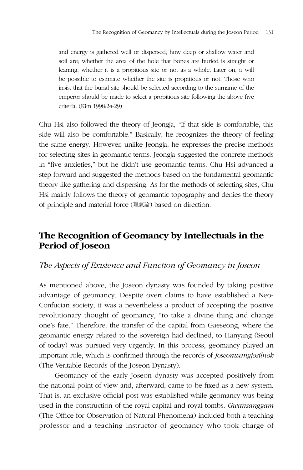and energy is gathered well or dispersed; how deep or shallow water and soil are; whether the area of the hole that bones are buried is straight or leaning; whether it is a propitious site or not as a whole. Later on, it will be possible to estimate whether the site is propitious or not. Those who insist that the burial site should be selected according to the surname of the emperor should be made to select a propitious site following the above five criteria. (Kim 1998:24-29)

Chu Hsi also followed the theory of Jeongja, "If that side is comfortable, this side will also be comfortable." Basically, he recognizes the theory of feeling the same energy. However, unlike Jeongja, he expresses the precise methods for selecting sites in geomantic terms. Jeongja suggested the concrete methods in "five anxieties," but he didn't use geomantic terms. Chu Hsi advanced a step forward and suggested the methods based on the fundamental geomantic theory like gathering and dispersing. As for the methods of selecting sites, Chu Hsi mainly follows the theory of geomantic topography and denies the theory of principle and material force (理氣論) based on direction.

# **The Recognition of Geomancy by Intellectuals in the Period of Joseon**

## *The Aspects of Existence and Function of Geomancy in Joseon*

As mentioned above, the Joseon dynasty was founded by taking positive advantage of geomancy. Despite overt claims to have established a Neo-Confucian society, it was a nevertheless a product of accepting the positive revolutionary thought of geomancy, "to take a divine thing and change one's fate." Therefore, the transfer of the capital from Gaeseong, where the geomantic energy related to the sovereign had declined, to Hanyang (Seoul of today) was pursued very urgently. In this process, geomancy played an important role, which is confirmed through the records of *Joseonwangjosilnok* (The Veritable Records of the Joseon Dynasty).

Geomancy of the early Joseon dynasty was accepted positively from the national point of view and, afterward, came to be fixed as a new system. That is, an exclusive official post was established while geomancy was being used in the construction of the royal capital and royal tombs. *Gwansanggam*  (The Office for Observation of Natural Phenomena) included both a teaching professor and a teaching instructor of geomancy who took charge of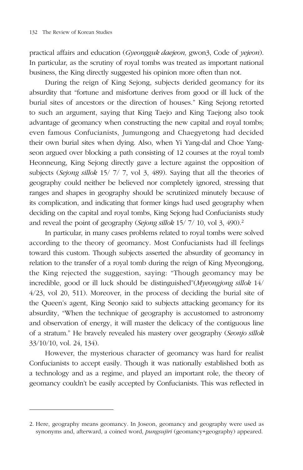practical affairs and education (*Gyeongguk daejeon,* gwon3, Code of *yejeon*). In particular, as the scrutiny of royal tombs was treated as important national business, the King directly suggested his opinion more often than not.

During the reign of King Sejong, subjects derided geomancy for its absurdity that "fortune and misfortune derives from good or ill luck of the burial sites of ancestors or the direction of houses." King Sejong retorted to such an argument, saying that King Taejo and King Taejong also took advantage of geomancy when constructing the new capital and royal tombs; even famous Confucianists, Jumungong and Chaegyetong had decided their own burial sites when dying. Also, when Yi Yang-dal and Choe Yangseon argued over blocking a path consisting of 12 courses at the royal tomb Heonneung, King Sejong directly gave a lecture against the opposition of subjects (*Sejong sillok* 15/ 7/ 7, vol 3, 489). Saying that all the theories of geography could neither be believed nor completely ignored, stressing that ranges and shapes in geography should be scrutinized minutely because of its complication, and indicating that former kings had used geography when deciding on the capital and royal tombs, King Sejong had Confucianists study and reveal the point of geography (*Sejong sillok* 15/ 7/ 10, vol 3, 490).<sup>2</sup>

In particular, in many cases problems related to royal tombs were solved according to the theory of geomancy. Most Confucianists had ill feelings toward this custom. Though subjects asserted the absurdity of geomancy in relation to the transfer of a royal tomb during the reign of King Myeongjong, the King rejected the suggestion, saying: "Though geomancy may be incredible, good or ill luck should be distinguished"(*Myeongjong sillok* 14/ 4/23, vol 20, 511). Moreover, in the process of deciding the burial site of the Queen's agent, King Seonjo said to subjects attacking geomancy for its absurdity, "When the technique of geography is accustomed to astronomy and observation of energy, it will master the delicacy of the contiguous line of a stratum." He bravely revealed his mastery over geography (*Seonjo sillok* 33/10/10, vol. 24, 134).

However, the mysterious character of geomancy was hard for realist Confucianists to accept easily. Though it was nationally established both as a technology and as a regime, and played an important role, the theory of geomancy couldn't be easily accepted by Confucianists. This was reflected in

<sup>2.</sup> Here, geography means geomancy. In Joseon, geomancy and geography were used as synonyms and, afterward, a coined word, *pungsujiri* (geomancy+geography) appeared.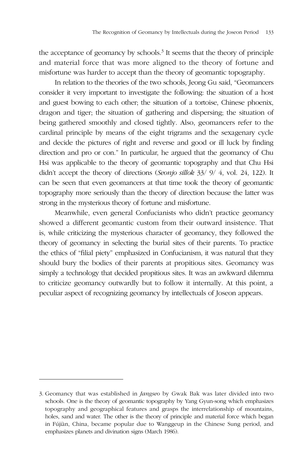the acceptance of geomancy by schools.<sup>3</sup> It seems that the theory of principle and material force that was more aligned to the theory of fortune and misfortune was harder to accept than the theory of geomantic topography.

In relation to the theories of the two schools, Jeong Gu said, "Geomancers consider it very important to investigate the following: the situation of a host and guest bowing to each other; the situation of a tortoise, Chinese phoenix, dragon and tiger; the situation of gathering and dispersing; the situation of being gathered smoothly and closed tightly. Also, geomancers refer to the cardinal principle by means of the eight trigrams and the sexagenary cycle and decide the pictures of right and reverse and good or ill luck by finding direction and pro or con." In particular, he argued that the geomancy of Chu Hsi was applicable to the theory of geomantic topography and that Chu Hsi didn't accept the theory of directions (*Seonjo sillok* 33/ 9/ 4, vol. 24, 122). It can be seen that even geomancers at that time took the theory of geomantic topography more seriously than the theory of direction because the latter was strong in the mysterious theory of fortune and misfortune.

Meanwhile, even general Confucianists who didn't practice geomancy showed a different geomantic custom from their outward insistence. That is, while criticizing the mysterious character of geomancy, they followed the theory of geomancy in selecting the burial sites of their parents. To practice the ethics of "filial piety" emphasized in Confucianism, it was natural that they should bury the bodies of their parents at propitious sites. Geomancy was simply a technology that decided propitious sites. It was an awkward dilemma to criticize geomancy outwardly but to follow it internally. At this point, a peculiar aspect of recognizing geomancy by intellectuals of Joseon appears.

<sup>3.</sup> Geomancy that was established in *Jangseo* by Gwak Bak was later divided into two schools. One is the theory of geomantic topography by Yang Gyun-song which emphasizes topography and geographical features and grasps the interrelationship of mountains, holes, sand and water. The other is the theory of principle and material force which began in Fújiàn, China, became popular due to Wanggeup in the Chinese Sung period, and emphasizes planets and divination signs (March 1986).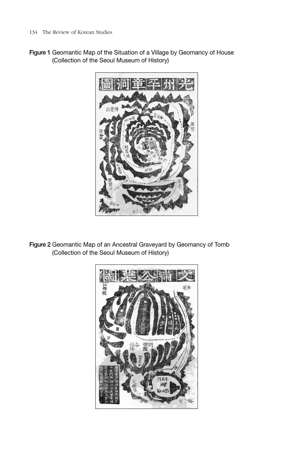Figure 1 Geomantic Map of the Situation of a Village by Geomancy of House (Collection of the Seoul Museum of History)



Figure 2 Geomantic Map of an Ancestral Graveyard by Geomancy of Tomb (Collection of the Seoul Museum of History)

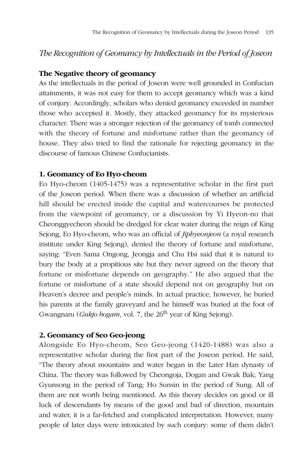# *The Recognition of Geomancy by Intellectuals in the Period of Joseon*

#### **The Negative theory of geomancy**

As the intellectuals in the period of Joseon were well grounded in Confucian attainments, it was not easy for them to accept geomancy which was a kind of conjury. Accordingly, scholars who denied geomancy exceeded in number those who accepted it. Mostly, they attacked geomancy for its mysterious character. There was a stronger rejection of the geomancy of tomb connected with the theory of fortune and misfortune rather than the geomancy of house. They also tried to find the rationale for rejecting geomancy in the discourse of famous Chinese Confucianists.

#### **1. Geomancy of Eo Hyo-cheom**

Eo Hyo-cheom (1405-1475) was a representative scholar in the first part of the Joseon period. When there was a discussion of whether an artificial hill should be erected inside the capital and watercourses be protected from the viewpoint of geomancy, or a discussion by Yi Hyeon-no that Cheonggyecheon should be dredged for clear water during the reign of King Sejong, Eo Hyo-cheom, who was an official of *Jiphyeonjeon* (a royal research institute under King Sejong), denied the theory of fortune and misfortune, saying: "Even Sama Ongong, Jeongja and Chu Hsi said that it is natural to bury the body at a propitious site but they never agreed on the theory that fortune or misfortune depends on geography." He also argued that the fortune or misfortune of a state should depend not on geography but on Heaven's decree and people's minds. In actual practice, however, he buried his parents at the family graveyard and he himself was buried at the foot of Gwangnaru (*Gukjo bogam*, vol. 7, the 26<sup>th</sup> year of King Sejong).

#### **2. Geomancy of Seo Geo-jeong**

Alongside Eo Hyo-cheom, Seo Geo-jeong (1420-1488) was also a representative scholar during the first part of the Joseon period. He said, "The theory about mountains and water began in the Later Han dynasty of China. The theory was followed by Cheongoja, Dogan and Gwak Bak; Yang Gyunsong in the period of Tang; Ho Sunsin in the period of Sung. All of them are not worth being mentioned. As this theory decides on good or ill luck of descendants by means of the good and bad of direction, mountain and water, it is a far-fetched and complicated interpretation. However, many people of later days were intoxicated by such conjury: some of them didn't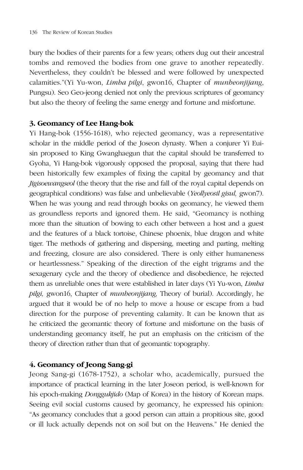bury the bodies of their parents for a few years; others dug out their ancestral tombs and removed the bodies from one grave to another repeatedly. Nevertheless, they couldn't be blessed and were followed by unexpected calamities."(Yi Yu-won, *Limha pilgi*, gwon16, Chapter of *munheonjijang*, Pungsu). Seo Geo-jeong denied not only the previous scriptures of geomancy but also the theory of feeling the same energy and fortune and misfortune.

#### **3. Geomancy of Lee Hang-bok**

Yi Hang-bok (1556-1618), who rejected geomancy, was a representative scholar in the middle period of the Joseon dynasty. When a conjurer Yi Euisin proposed to King Gwanghaegun that the capital should be transferred to Gyoha, Yi Hang-bok vigorously opposed the proposal, saying that there had been historically few examples of fixing the capital by geomancy and that *Jigisoewangseol* (the theory that the rise and fall of the royal capital depends on geographical conditions) was false and unbelievable (*Yeollyeosil gisul,* gwon7). When he was young and read through books on geomancy, he viewed them as groundless reports and ignored them. He said, "Geomancy is nothing more than the situation of bowing to each other between a host and a guest and the features of a black tortoise, Chinese phoenix, blue dragon and white tiger. The methods of gathering and dispersing, meeting and parting, melting and freezing, closure are also considered. There is only either humaneness or heartlessness." Speaking of the direction of the eight trigrams and the sexagenary cycle and the theory of obedience and disobedience, he rejected them as unreliable ones that were established in later days (Yi Yu-won, *Limha pilgi,* gwon16, Chapter of *munheonjijang,* Theory of burial). Accordingly, he argued that it would be of no help to move a house or escape from a bad direction for the purpose of preventing calamity. It can be known that as he criticized the geomantic theory of fortune and misfortune on the basis of understanding geomancy itself, he put an emphasis on the criticism of the theory of direction rather than that of geomantic topography.

#### **4. Geomancy of Jeong Sang-gi**

Jeong Sang-gi (1678-1752), a scholar who, academically, pursued the importance of practical learning in the later Joseon period, is well-known for his epoch-making *Donggukjido* (Map of Korea) in the history of Korean maps. Seeing evil social customs caused by geomancy, he expressed his opinion: "As geomancy concludes that a good person can attain a propitious site, good or ill luck actually depends not on soil but on the Heavens." He denied the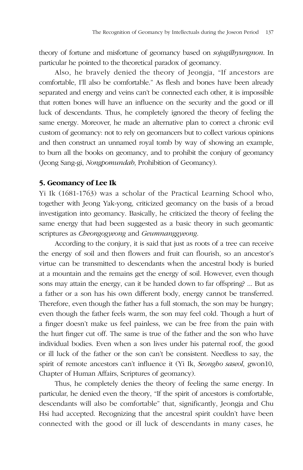theory of fortune and misfortune of geomancy based on *sojugilhyungnon*. In particular he pointed to the theoretical paradox of geomancy.

Also, he bravely denied the theory of Jeongja, "If ancestors are comfortable, I'll also be comfortable." As flesh and bones have been already separated and energy and veins can't be connected each other, it is impossible that rotten bones will have an influence on the security and the good or ill luck of descendants. Thus, he completely ignored the theory of feeling the same energy. Moreover, he made an alternative plan to correct a chronic evil custom of geomancy: not to rely on geomancers but to collect various opinions and then construct an unnamed royal tomb by way of showing an example, to burn all the books on geomancy, and to prohibit the conjury of geomancy (Jeong Sang-gi, *Nongpomundab*, Prohibition of Geomancy).

#### **5. Geomancy of Lee Ik**

Yi Ik (1681-1763) was a scholar of the Practical Learning School who, together with Jeong Yak-yong, criticized geomancy on the basis of a broad investigation into geomancy. Basically, he criticized the theory of feeling the same energy that had been suggested as a basic theory in such geomantic scriptures as *Cheongogyeong* and *Geumnanggyeong*.

According to the conjury, it is said that just as roots of a tree can receive the energy of soil and then flowers and fruit can flourish, so an ancestor's virtue can be transmitted to descendants when the ancestral body is buried at a mountain and the remains get the energy of soil. However, even though sons may attain the energy, can it be handed down to far offspring? ... But as a father or a son has his own different body, energy cannot be transferred. Therefore, even though the father has a full stomach, the son may be hungry; even though the father feels warm, the son may feel cold. Though a hurt of a finger doesn't make us feel painless, we can be free from the pain with the hurt finger cut off. The same is true of the father and the son who have individual bodies. Even when a son lives under his paternal roof, the good or ill luck of the father or the son can't be consistent. Needless to say, the spirit of remote ancestors can't influence it (Yi Ik, *Seongho saseol*, gwon10, Chapter of Human Affairs, Scriptures of geomancy).

Thus, he completely denies the theory of feeling the same energy. In particular, he denied even the theory, "If the spirit of ancestors is comfortable, descendants will also be comfortable" that, significantly, Jeongja and Chu Hsi had accepted. Recognizing that the ancestral spirit couldn't have been connected with the good or ill luck of descendants in many cases, he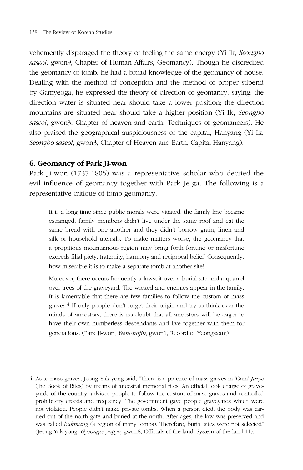vehemently disparaged the theory of feeling the same energy (Yi Ik, *Seongho saseol*, gwon9, Chapter of Human Affairs, Geomancy). Though he discredited the geomancy of tomb, he had a broad knowledge of the geomancy of house. Dealing with the method of conception and the method of proper stipend by Gamyeoga, he expressed the theory of direction of geomancy, saying: the direction water is situated near should take a lower position; the direction mountains are situated near should take a higher position (Yi Ik, *Seongho saseol*, gwon3, Chapter of heaven and earth, Techniques of geomancers). He also praised the geographical auspiciousness of the capital, Hanyang (Yi Ik, *Seongho saseol*, gwon3, Chapter of Heaven and Earth, Capital Hanyang).

#### **6. Geomancy of Park Ji-won**

Park Ji-won (1737-1805) was a representative scholar who decried the evil influence of geomancy together with Park Je-ga. The following is a representative critique of tomb geomancy.

It is a long time since public morals were vitiated, the family line became estranged, family members didn't live under the same roof and eat the same bread with one another and they didn't borrow grain, linen and silk or household utensils. To make matters worse, the geomancy that a propitious mountainous region may bring forth fortune or misfortune exceeds filial piety, fraternity, harmony and reciprocal belief. Consequently, how miserable it is to make a separate tomb at another site!

Moreover, there occurs frequently a lawsuit over a burial site and a quarrel over trees of the graveyard. The wicked and enemies appear in the family. It is lamentable that there are few families to follow the custom of mass graves. $4$  If only people don't forget their origin and try to think over the minds of ancestors, there is no doubt that all ancestors will be eager to have their own numberless descendants and live together with them for generations. (Park Ji-won, *Yeonamjib*, gwon1, Record of Yeongsaam)

<sup>4.</sup> As to mass graves, Jeong Yak-yong said, "There is a practice of mass graves in 'Gain' *Jurye*  (the Book of Rites) by means of ancestral memorial rites. An official took charge of graveyards of the country, advised people to follow the custom of mass graves and controlled prohibitory creeds and frequency. The government gave people graveyards which were not violated. People didn't make private tombs. When a person died, the body was carried out of the north gate and buried at the north. After ages, the law was preserved and was called *bukmang* (a region of many tombs). Therefore, burial sites were not selected" (Jeong Yak-yong. *Gyeongse yupyo,* gwon8, Officials of the land, System of the land 11).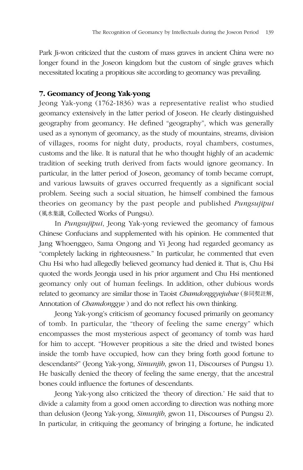Park Ji-won criticized that the custom of mass graves in ancient China were no longer found in the Joseon kingdom but the custom of single graves which necessitated locating a propitious site according to geomancy was prevailing.

## **7. Geomancy of Jeong Yak-yong**

Jeong Yak-yong (1762-1836) was a representative realist who studied geomancy extensively in the latter period of Joseon. He clearly distinguished geography from geomancy. He defined "geography", which was generally used as a synonym of geomancy, as the study of mountains, streams, division of villages, rooms for night duty, products, royal chambers, costumes, customs and the like. It is natural that he who thought highly of an academic tradition of seeking truth derived from facts would ignore geomancy. In particular, in the latter period of Joseon, geomancy of tomb became corrupt, and various lawsuits of graves occurred frequently as a significant social problem. Seeing such a social situation, he himself combined the famous theories on geomancy by the past people and published *Pungsujipui* (風水集議, Collected Works of Pungsu).

In *Pungsujipui*, Jeong Yak-yong reviewed the geomancy of famous Chinese Confucians and supplemented with his opinion. He commented that Jang Whoenggeo, Sama Ongong and Yi Jeong had regarded geomancy as "completely lacking in righteousness." In particular, he commented that even Chu Hsi who had allegedly believed geomancy had denied it. That is, Chu Hsi quoted the words Jeongja used in his prior argument and Chu Hsi mentioned geomancy only out of human feelings. In addition, other dubious words related to geomancy are similar those in Taoist *Chamdonggyejuhae* (參同契註解, Annotation of *Chamdonggye* ) and do not reflect his own thinking.

Jeong Yak-yong's criticism of geomancy focused primarily on geomancy of tomb. In particular, the "theory of feeling the same energy" which encompasses the most mysterious aspect of geomancy of tomb was hard for him to accept. "However propitious a site the dried and twisted bones inside the tomb have occupied, how can they bring forth good fortune to descendants?" (Jeong Yak-yong, *Simunjib*, gwon 11, Discourses of Pungsu 1). He basically denied the theory of feeling the same energy, that the ancestral bones could influence the fortunes of descendants.

Jeong Yak-yong also criticized the 'theory of direction.' He said that to divide a calamity from a good omen according to direction was nothing more than delusion (Jeong Yak-yong, *Simunjib*, gwon 11, Discourses of Pungsu 2). In particular, in critiquing the geomancy of bringing a fortune, he indicated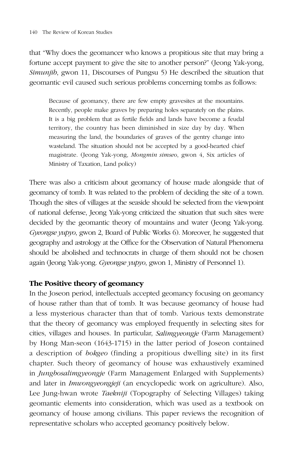that "Why does the geomancer who knows a propitious site that may bring a fortune accept payment to give the site to another person?" (Jeong Yak-yong, *Simunjib*, gwon 11, Discourses of Pungsu 5) He described the situation that geomantic evil caused such serious problems concerning tombs as follows:

Because of geomancy, there are few empty gravesites at the mountains. Recently, people make graves by preparing holes separately on the plains. It is a big problem that as fertile fields and lands have become a feudal territory, the country has been diminished in size day by day. When measuring the land, the boundaries of graves of the gentry change into wasteland. The situation should not be accepted by a good-hearted chief magistrate. (Jeong Yak-yong, *Mongmin simseo*, gwon 4, Six articles of Ministry of Taxation, Land policy)

There was also a criticism about geomancy of house made alongside that of geomancy of tomb. It was related to the problem of deciding the site of a town. Though the sites of villages at the seaside should be selected from the viewpoint of national defense, Jeong Yak-yong criticized the situation that such sites were decided by the geomantic theory of mountains and water (Jeong Yak-yong. *Gyeongse yupyo*, gwon 2, Board of Public Works 6). Moreover, he suggested that geography and astrology at the Office for the Observation of Natural Phenomena should be abolished and technocrats in charge of them should not be chosen again (Jeong Yak-yong. *Gyeongse yupyo*, gwon 1, Ministry of Personnel 1).

#### **The Positive theory of geomancy**

In the Joseon period, intellectuals accepted geomancy focusing on geomancy of house rather than that of tomb. It was because geomancy of house had a less mysterious character than that of tomb. Various texts demonstrate that the theory of geomancy was employed frequently in selecting sites for cities, villages and houses. In particular, *Salimgyeongje* (Farm Management) by Hong Man-seon (1643-1715) in the latter period of Joseon contained a description of *bokgeo* (finding a propitious dwelling site) in its first chapter. Such theory of geomancy of house was exhaustively examined in *Jungbosalimgyeongje* (Farm Management Enlarged with Supplements) and later in *Imwongyeongjeji* (an encyclopedic work on agriculture). Also, Lee Jung-hwan wrote *Taekniji* (Topography of Selecting Villages) taking geomantic elements into consideration, which was used as a textbook on geomancy of house among civilians. This paper reviews the recognition of representative scholars who accepted geomancy positively below.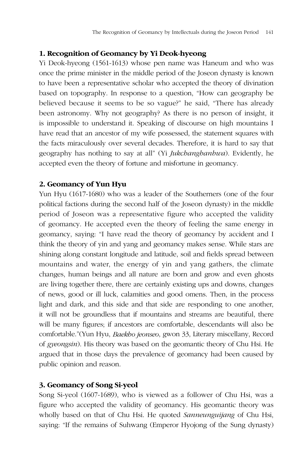#### **1. Recognition of Geomancy by Yi Deok-hyeong**

Yi Deok-hyeong (1561-1613) whose pen name was Haneum and who was once the prime minister in the middle period of the Joseon dynasty is known to have been a representative scholar who accepted the theory of divination based on topography. In response to a question, "How can geography be believed because it seems to be so vague?" he said, "There has already been astronomy. Why not geography? As there is no person of insight, it is impossible to understand it. Speaking of discourse on high mountains I have read that an ancestor of my wife possessed, the statement squares with the facts miraculously over several decades. Therefore, it is hard to say that geography has nothing to say at all" (Yi *Jukchanghanhwa*). Evidently, he accepted even the theory of fortune and misfortune in geomancy.

## **2. Geomancy of Yun Hyu**

Yun Hyu (1617-1680) who was a leader of the Southerners (one of the four political factions during the second half of the Joseon dynasty) in the middle period of Joseon was a representative figure who accepted the validity of geomancy. He accepted even the theory of feeling the same energy in geomancy, saying: "I have read the theory of geomancy by accident and I think the theory of yin and yang and geomancy makes sense. While stars are shining along constant longitude and latitude, soil and fields spread between mountains and water, the energy of yin and yang gathers, the climate changes, human beings and all nature are born and grow and even ghosts are living together there, there are certainly existing ups and downs, changes of news, good or ill luck, calamities and good omens. Then, in the process light and dark, and this side and that side are responding to one another, it will not be groundless that if mountains and streams are beautiful, there will be many figures; if ancestors are comfortable, descendants will also be comfortable."(Yun Hyu, *Baekho jeonseo*, gwon 33, Literary miscellany, Record of *gyeongsin*). His theory was based on the geomantic theory of Chu Hsi. He argued that in those days the prevalence of geomancy had been caused by public opinion and reason.

## **3. Geomancy of Song Si-yeol**

Song Si-yeol (1607-1689), who is viewed as a follower of Chu Hsi, was a figure who accepted the validity of geomancy. His geomantic theory was wholly based on that of Chu Hsi. He quoted *Sanneunguijang* of Chu Hsi, saying: "If the remains of Suhwang (Emperor Hyojong of the Sung dynasty)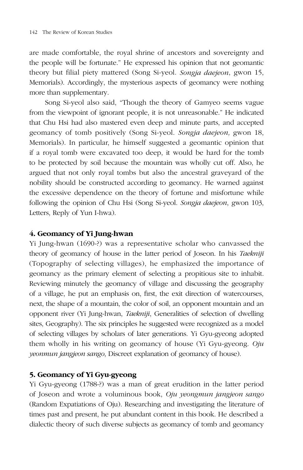are made comfortable, the royal shrine of ancestors and sovereignty and the people will be fortunate." He expressed his opinion that not geomantic theory but filial piety mattered (Song Si-yeol. *Songja daejeon*, gwon 15, Memorials). Accordingly, the mysterious aspects of geomancy were nothing more than supplementary.

Song Si-yeol also said, "Though the theory of Gamyeo seems vague from the viewpoint of ignorant people, it is not unreasonable." He indicated that Chu Hsi had also mastered even deep and minute parts, and accepted geomancy of tomb positively (Song Si-yeol. *Songja daejeon,* gwon 18, Memorials). In particular, he himself suggested a geomantic opinion that if a royal tomb were excavated too deep, it would be hard for the tomb to be protected by soil because the mountain was wholly cut off. Also, he argued that not only royal tombs but also the ancestral graveyard of the nobility should be constructed according to geomancy. He warned against the excessive dependence on the theory of fortune and misfortune while following the opinion of Chu Hsi (Song Si-yeol. *Songja daejeon*, gwon 103, Letters, Reply of Yun I-hwa).

#### **4. Geomancy of Yi Jung-hwan**

Yi Jung-hwan (1690-?) was a representative scholar who canvassed the theory of geomancy of house in the latter period of Joseon. In his *Taekniji* (Topography of selecting villages), he emphasized the importance of geomancy as the primary element of selecting a propitious site to inhabit. Reviewing minutely the geomancy of village and discussing the geography of a village, he put an emphasis on, first, the exit direction of watercourses, next, the shape of a mountain, the color of soil, an opponent mountain and an opponent river (Yi Jung-hwan, *Taekniji*, Generalities of selection of dwelling sites, Geography). The six principles he suggested were recognized as a model of selecting villages by scholars of later generations. Yi Gyu-gyeong adopted them wholly in his writing on geomancy of house (Yi Gyu-gyeong. *Oju yeonmun jangjeon sango*, Discreet explanation of geomancy of house).

## **5. Geomancy of Yi Gyu-gyeong**

Yi Gyu-gyeong (1788-?) was a man of great erudition in the latter period of Joseon and wrote a voluminous book, *Oju yeongmun jangjeon sango*  (Random Expatiations of Oju). Researching and investigating the literature of times past and present, he put abundant content in this book. He described a dialectic theory of such diverse subjects as geomancy of tomb and geomancy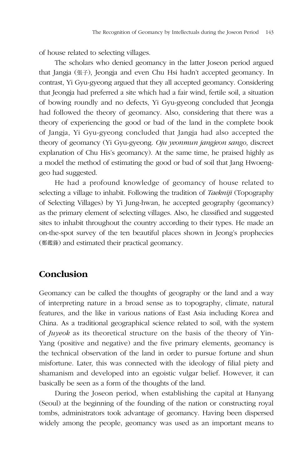of house related to selecting villages.

The scholars who denied geomancy in the latter Joseon period argued that Jangja (張子), Jeongja and even Chu Hsi hadn't accepted geomancy. In contrast, Yi Gyu-gyeong argued that they all accepted geomancy. Considering that Jeongja had preferred a site which had a fair wind, fertile soil, a situation of bowing roundly and no defects, Yi Gyu-gyeong concluded that Jeongja had followed the theory of geomancy. Also, considering that there was a theory of experiencing the good or bad of the land in the complete book of Jangja, Yi Gyu-gyeong concluded that Jangja had also accepted the theory of geomancy (Yi Gyu-gyeong. *Oju yeonmun jangjeon sango*, discreet explanation of Chu His's geomancy). At the same time, he praised highly as a model the method of estimating the good or bad of soil that Jang Hwoenggeo had suggested.

He had a profound knowledge of geomancy of house related to selecting a village to inhabit. Following the tradition of *Taekniji* (Topography of Selecting Villages) by Yi Jung-hwan, he accepted geography (geomancy) as the primary element of selecting villages. Also, he classified and suggested sites to inhabit throughout the country according to their types. He made an on-the-spot survey of the ten beautiful places shown in Jeong's prophecies (鄭鑑錄) and estimated their practical geomancy.

# **Conclusion**

Geomancy can be called the thoughts of geography or the land and a way of interpreting nature in a broad sense as to topography, climate, natural features, and the like in various nations of East Asia including Korea and China. As a traditional geographical science related to soil, with the system of *Juyeok* as its theoretical structure on the basis of the theory of Yin-Yang (positive and negative) and the five primary elements, geomancy is the technical observation of the land in order to pursue fortune and shun misfortune. Later, this was connected with the ideology of filial piety and shamanism and developed into an egoistic vulgar belief. However, it can basically be seen as a form of the thoughts of the land.

During the Joseon period, when establishing the capital at Hanyang (Seoul) at the beginning of the founding of the nation or constructing royal tombs, administrators took advantage of geomancy. Having been dispersed widely among the people, geomancy was used as an important means to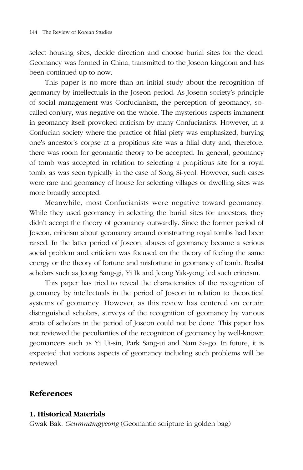select housing sites, decide direction and choose burial sites for the dead. Geomancy was formed in China, transmitted to the Joseon kingdom and has been continued up to now.

This paper is no more than an initial study about the recognition of geomancy by intellectuals in the Joseon period. As Joseon society's principle of social management was Confucianism, the perception of geomancy, socalled conjury, was negative on the whole. The mysterious aspects immanent in geomancy itself provoked criticism by many Confucianists. However, in a Confucian society where the practice of filial piety was emphasized, burying one's ancestor's corpse at a propitious site was a filial duty and, therefore, there was room for geomantic theory to be accepted. In general, geomancy of tomb was accepted in relation to selecting a propitious site for a royal tomb, as was seen typically in the case of Song Si-yeol. However, such cases were rare and geomancy of house for selecting villages or dwelling sites was more broadly accepted.

Meanwhile, most Confucianists were negative toward geomancy. While they used geomancy in selecting the burial sites for ancestors, they didn't accept the theory of geomancy outwardly. Since the former period of Joseon, criticism about geomancy around constructing royal tombs had been raised. In the latter period of Joseon, abuses of geomancy became a serious social problem and criticism was focused on the theory of feeling the same energy or the theory of fortune and misfortune in geomancy of tomb. Realist scholars such as Jeong Sang-gi, Yi Ik and Jeong Yak-yong led such criticism.

This paper has tried to reveal the characteristics of the recognition of geomancy by intellectuals in the period of Joseon in relation to theoretical systems of geomancy. However, as this review has centered on certain distinguished scholars, surveys of the recognition of geomancy by various strata of scholars in the period of Joseon could not be done. This paper has not reviewed the peculiarities of the recognition of geomancy by well-known geomancers such as Yi Ui-sin, Park Sang-ui and Nam Sa-go. In future, it is expected that various aspects of geomancy including such problems will be reviewed.

#### **References**

#### **1. Historical Materials**

Gwak Bak. *Geumnamgyeong* (Geomantic scripture in golden bag)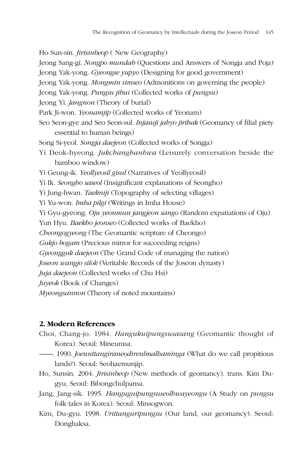Ho Sun-sin. *Jirisinbeop* ( New Geography) Jeong Sang-gi. *Nongpo mundab* (Questions and Answers of Nongja and Poja) Jeong Yak-yong. *Gyeongse yupyo* (Designing for good government) Jeong Yak-yong. *Mongmin simseo* (Admonitions on governing the people) Jeong Yak-yong. *Pungsu jibui* (Collected works of *pungsu*) Jeong Yi. *Jangnon* (Theory of burial) Park Ji-won. *Yeonamjip* (Collected works of Yeonam) Seo Seon-gye and Seo Seon-sul. *Injasuji jahyo jirihak* (Geomancy of filial piety essential to human beings) Song Si-yeol. *Songja daejeon* (Collected works of Songja) Yi Deok-hyeong. *Jukchanghanhwa* (Leisurely conversation beside the bamboo window) Yi Geung-ik. *Yeollyeosil gisul* (Narratives of Yeollyeosil) Yi Ik. *Seongho saseol* (Insignificant explanations of Seongho) Yi Jung-hwan. *Taekniji* (Topography of selecting villages) Yi Yu-won. *Imha pilgi* (Writings in Imha House) Yi Gyu-gyeong. *Oju yeonmun jangjeon sango* (Random expatiations of Oju) Yun Hyu. *Baekho jeonseo* (Collected works of Baekho) *Cheongogyeong* (The Geomantic scripture of Cheongo) *Gukjo bogam* (Precious mirror for succeeding reigns) *Gyeongguk daejeon* (The Grand Code of managing the nation) *Joseon wangjo silok* (Veritable Records of the Joseon dynasty) *Juja daejeon* (Collected works of Chu Hsi) *Juyeok* (Book of Changes) *Myeongsannon* (Theory of noted mountains)

#### **2. Modern References**

- Choi, Chang-jo. 1984. *Hangukuipungsusasang* (Geomantic thought of Korea). Seoul: Mineumsa.
- ---------. 1990. *Joeunttangiraneodireulmalhaminga* (What do we call propitious lands?). Seoul: Seohaemunjip.
- Ho, Sunsin. 2004. *Jirisinbeop* (New methods of geomancy). trans. Kim Dugyu, Seoul: Bibongchulpansa.
- Jang, Jang-sik. 1995. *Hanguguipungsuseolhwayeongu* (A Study on *pungsu* folk tales in Korea). Seoul: Minsogwon.
- Kim, Du-gyu. 1998. *Urittanguripungsu* (Our land, our geomancy). Seoul: Donghaksa.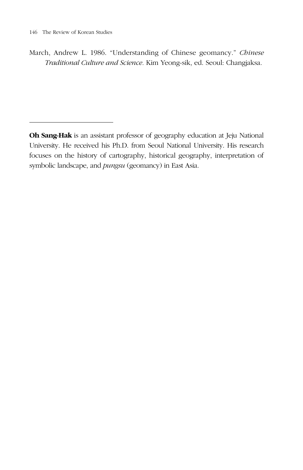March, Andrew L. 1986. "Understanding of Chinese geomancy." *Chinese Traditional Culture and Science.* Kim Yeong-sik, ed. Seoul: Changjaksa.

**Oh Sang-Hak** is an assistant professor of geography education at Jeju National University. He received his Ph.D. from Seoul National University. His research focuses on the history of cartography, historical geography, interpretation of symbolic landscape, and *pungsu* (geomancy) in East Asia.